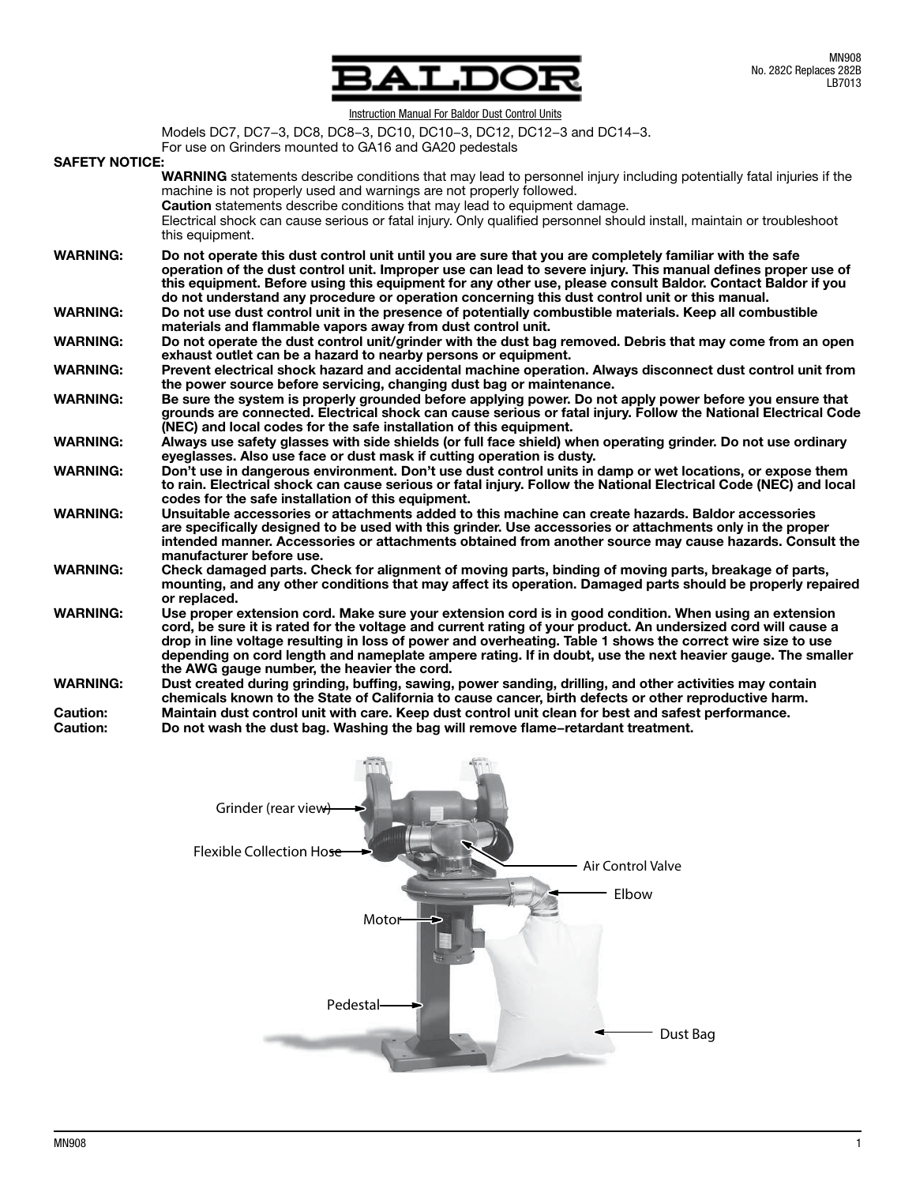

**Instruction Manual For Baldor Dust Control Units** 

Models DC7, DC7−3, DC8, DC8−3, DC10, DC10−3, DC12, DC12−3 and DC14−3.

For use on Grinders mounted to GA16 and GA20 pedestals

#### SAFETY NOTICE:

| ONILII IVUTIVL  |                                                                                                                                                                                                                                                                                                                                                                                                                                                                                                     |
|-----------------|-----------------------------------------------------------------------------------------------------------------------------------------------------------------------------------------------------------------------------------------------------------------------------------------------------------------------------------------------------------------------------------------------------------------------------------------------------------------------------------------------------|
|                 | <b>WARNING</b> statements describe conditions that may lead to personnel injury including potentially fatal injuries if the<br>machine is not properly used and warnings are not properly followed.<br><b>Caution</b> statements describe conditions that may lead to equipment damage.<br>Electrical shock can cause serious or fatal injury. Only qualified personnel should install, maintain or troubleshoot<br>this equipment.                                                                 |
| <b>WARNING:</b> | Do not operate this dust control unit until you are sure that you are completely familiar with the safe<br>operation of the dust control unit. Improper use can lead to severe injury. This manual defines proper use of<br>this equipment. Before using this equipment for any other use, please consult Baldor. Contact Baldor if you<br>do not understand any procedure or operation concerning this dust control unit or this manual.                                                           |
| <b>WARNING:</b> | Do not use dust control unit in the presence of potentially combustible materials. Keep all combustible<br>materials and flammable vapors away from dust control unit.                                                                                                                                                                                                                                                                                                                              |
| <b>WARNING:</b> | Do not operate the dust control unit/grinder with the dust bag removed. Debris that may come from an open<br>exhaust outlet can be a hazard to nearby persons or equipment.                                                                                                                                                                                                                                                                                                                         |
| <b>WARNING:</b> | Prevent electrical shock hazard and accidental machine operation. Always disconnect dust control unit from<br>the power source before servicing, changing dust bag or maintenance.                                                                                                                                                                                                                                                                                                                  |
| <b>WARNING:</b> | Be sure the system is properly grounded before applying power. Do not apply power before you ensure that<br>grounds are connected. Electrical shock can cause serious or fatal injury. Follow the National Electrical Code<br>(NEC) and local codes for the safe installation of this equipment.                                                                                                                                                                                                    |
| <b>WARNING:</b> | Always use safety glasses with side shields (or full face shield) when operating grinder. Do not use ordinary<br>eyeglasses. Also use face or dust mask if cutting operation is dusty.                                                                                                                                                                                                                                                                                                              |
| <b>WARNING:</b> | Don't use in dangerous environment. Don't use dust control units in damp or wet locations, or expose them<br>to rain. Electrical shock can cause serious or fatal injury. Follow the National Electrical Code (NEC) and local<br>codes for the safe installation of this equipment.                                                                                                                                                                                                                 |
| <b>WARNING:</b> | Unsuitable accessories or attachments added to this machine can create hazards. Baldor accessories<br>are specifically designed to be used with this grinder. Use accessories or attachments only in the proper<br>intended manner. Accessories or attachments obtained from another source may cause hazards. Consult the<br>manufacturer before use.                                                                                                                                              |
| <b>WARNING:</b> | Check damaged parts. Check for alignment of moving parts, binding of moving parts, breakage of parts,<br>mounting, and any other conditions that may affect its operation. Damaged parts should be properly repaired<br>or replaced.                                                                                                                                                                                                                                                                |
| <b>WARNING:</b> | Use proper extension cord. Make sure your extension cord is in good condition. When using an extension<br>cord, be sure it is rated for the voltage and current rating of your product. An undersized cord will cause a<br>drop in line voltage resulting in loss of power and overheating. Table 1 shows the correct wire size to use<br>depending on cord length and nameplate ampere rating. If in doubt, use the next heavier gauge. The smaller<br>the AWG gauge number, the heavier the cord. |
| <b>WARNING:</b> | Dust created during grinding, buffing, sawing, power sanding, drilling, and other activities may contain<br>chemicals known to the State of California to cause cancer, birth defects or other reproductive harm.                                                                                                                                                                                                                                                                                   |
| <b>Caution:</b> | Maintain dust control unit with care. Keep dust control unit clean for best and safest performance.                                                                                                                                                                                                                                                                                                                                                                                                 |
| <b>Caution:</b> | Do not wash the dust bag. Washing the bag will remove flame-retardant treatment.                                                                                                                                                                                                                                                                                                                                                                                                                    |

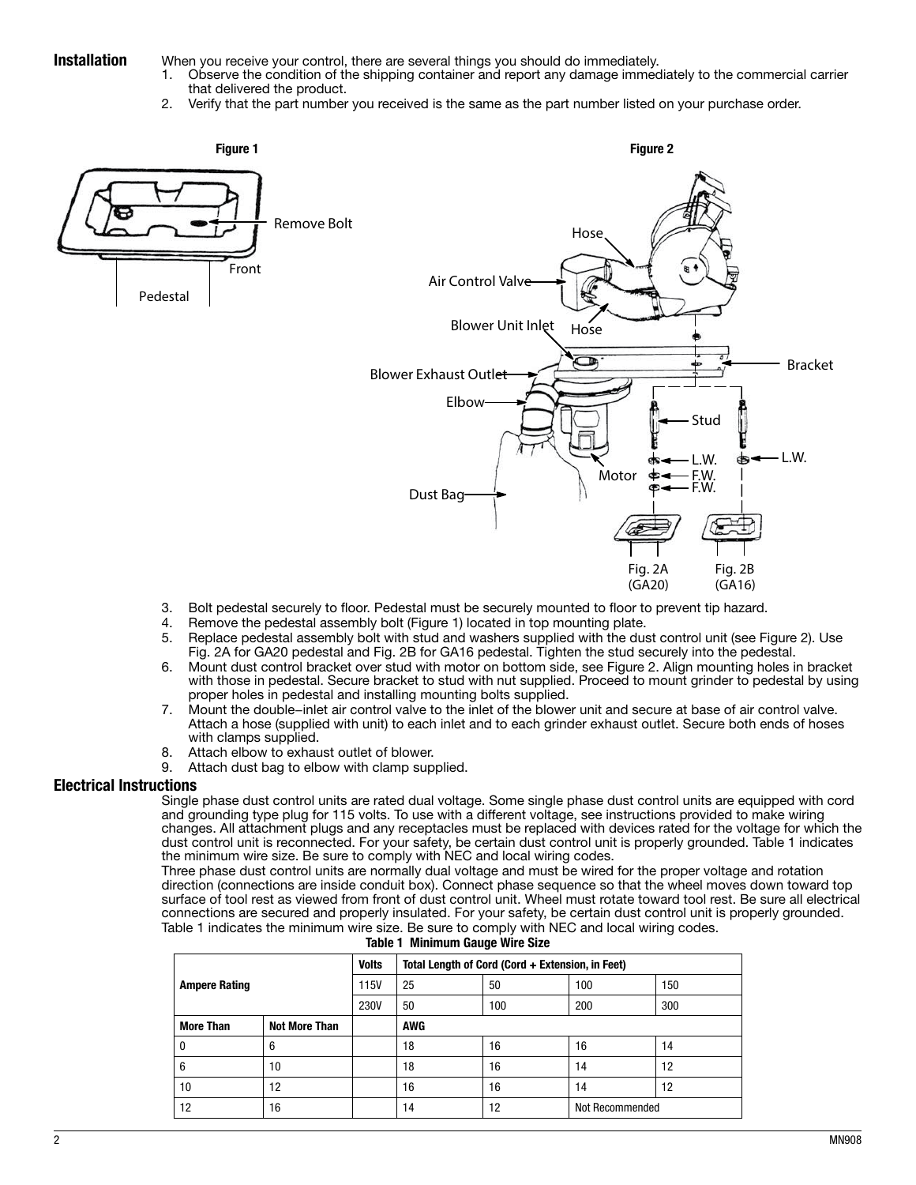**Installation** When you receive your control, there are several things you should do immediately.<br>1. Observe the condition of the shipping container and report any damage immed

- 1. Observe the condition of the shipping container and report any damage immediately to the commercial carrier that delivered the product.
- 2. Verify that the part number you received is the same as the part number listed on your purchase order.



- 3. Bolt pedestal securely to floor. Pedestal must be securely mounted to floor to prevent tip hazard.
- 4. Remove the pedestal assembly bolt (Figure 1) located in top mounting plate.
- 5. Replace pedestal assembly bolt with stud and washers supplied with the dust control unit (see Figure 2). Use Fig. 2A for GA20 pedestal and Fig. 2B for GA16 pedestal. Tighten the stud securely into the pedestal.
- 6. Mount dust control bracket over stud with motor on bottom side, see Figure 2. Align mounting holes in bracket with those in pedestal. Secure bracket to stud with nut supplied. Proceed to mount grinder to pedestal by using proper holes in pedestal and installing mounting bolts supplied.
- 7. Mount the double−inlet air control valve to the inlet of the blower unit and secure at base of air control valve. Attach a hose (supplied with unit) to each inlet and to each grinder exhaust outlet. Secure both ends of hoses with clamps supplied.
- 8. Attach elbow to exhaust outlet of blower.<br>9. Attach dust bag to elbow with clamp sup
- Attach dust bag to elbow with clamp supplied.

### Electrical Instructions

Single phase dust control units are rated dual voltage. Some single phase dust control units are equipped with cord and grounding type plug for 115 volts. To use with a different voltage, see instructions provided to make wiring changes. All attachment plugs and any receptacles must be replaced with devices rated for the voltage for which the dust control unit is reconnected. For your safety, be certain dust control unit is properly grounded. Table 1 indicates the minimum wire size. Be sure to comply with NEC and local wiring codes.

Three phase dust control units are normally dual voltage and must be wired for the proper voltage and rotation direction (connections are inside conduit box). Connect phase sequence so that the wheel moves down toward top surface of tool rest as viewed from front of dust control unit. Wheel must rotate toward tool rest. Be sure all electrical connections are secured and properly insulated. For your safety, be certain dust control unit is properly grounded. Table 1 indicates the minimum wire size. Be sure to comply with NEC and local wiring codes.

|                      |                      | <b>Volts</b> | Total Length of Cord (Cord + Extension, in Feet) |     |                 |     |  |
|----------------------|----------------------|--------------|--------------------------------------------------|-----|-----------------|-----|--|
| <b>Ampere Rating</b> |                      | 115V         | 25                                               | 50  | 100             | 150 |  |
|                      |                      | <b>230V</b>  | 50                                               | 100 | 200             | 300 |  |
| <b>More Than</b>     | <b>Not More Than</b> |              | <b>AWG</b>                                       |     |                 |     |  |
| 0                    | 6                    |              | 18                                               | 16  | 16              | 14  |  |
| 6                    | 10                   |              | 18                                               | 16  | 14              | 12  |  |
| 10                   | 12                   |              | 16                                               | 16  | 14              | 12  |  |
| 12                   | 16                   |              | 14                                               | 12  | Not Recommended |     |  |

| Table 1 Minimum Gauge Wire Size |  |  |  |
|---------------------------------|--|--|--|
|---------------------------------|--|--|--|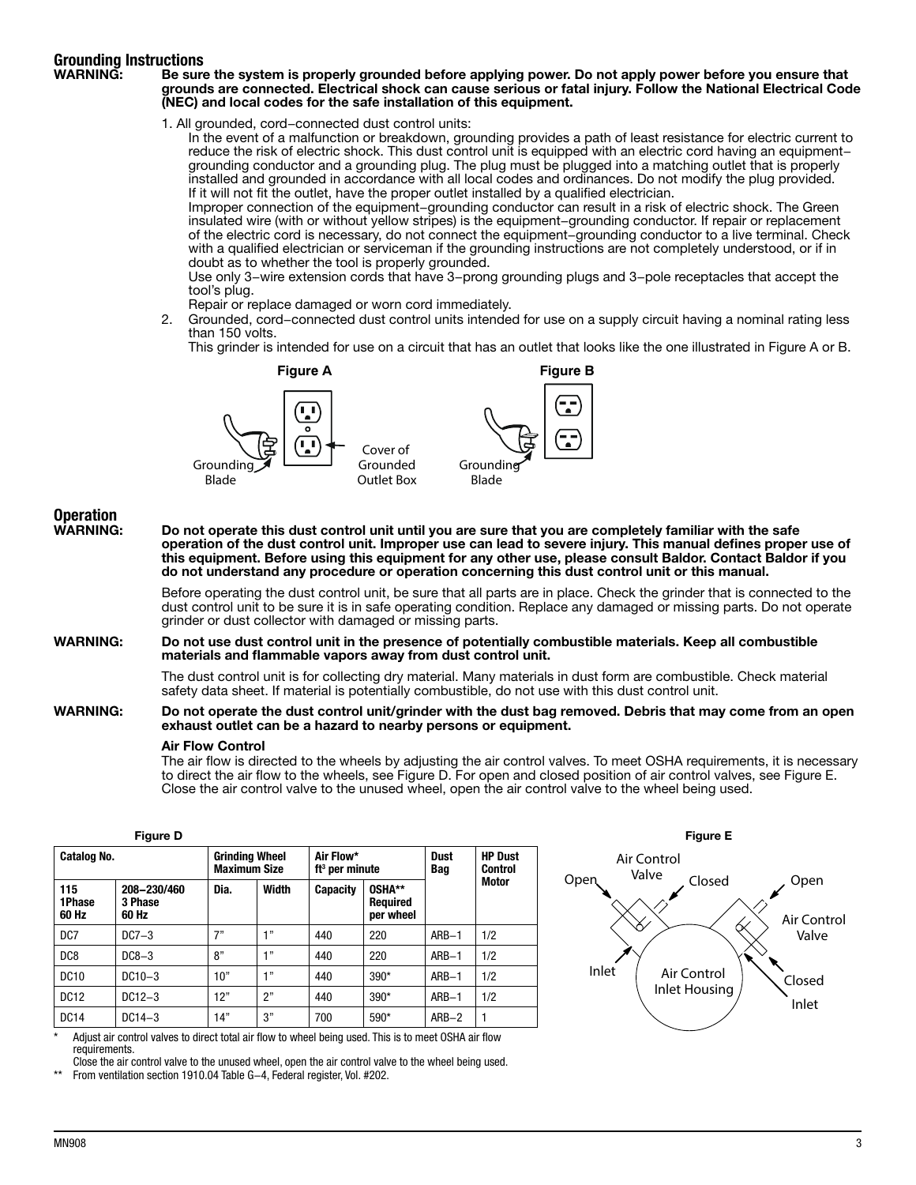# **Grounding Instructions**<br>WARNING: Be sure

#### Be sure the system is properly grounded before applying power. Do not apply power before you ensure that grounds are connected. Electrical shock can cause serious or fatal injury. Follow the National Electrical Code (NEC) and local codes for the safe installation of this equipment.

1. All grounded, cord−connected dust control units:

In the event of a malfunction or breakdown, grounding provides a path of least resistance for electric current to reduce the risk of electric shock. This dust control unit is equipped with an electric cord having an equipment− grounding conductor and a grounding plug. The plug must be plugged into a matching outlet that is properly installed and grounded in accordance with all local codes and ordinances. Do not modify the plug provided. If it will not fit the outlet, have the proper outlet installed by a qualified electrician.

Improper connection of the equipment−grounding conductor can result in a risk of electric shock. The Green insulated wire (with or without yellow stripes) is the equipment−grounding conductor. If repair or replacement of the electric cord is necessary, do not connect the equipment−grounding conductor to a live terminal. Check with a qualified electrician or serviceman if the grounding instructions are not completely understood, or if in doubt as to whether the tool is properly grounded.

Use only 3−wire extension cords that have 3−prong grounding plugs and 3−pole receptacles that accept the tool's plug.

- Repair or replace damaged or worn cord immediately.
- 2. Grounded, cord−connected dust control units intended for use on a supply circuit having a nominal rating less than 150 volts.

This grinder is intended for use on a circuit that has an outlet that looks like the one illustrated in Figure A or B.



## Operation<br>WARNING:

Do not operate this dust control unit until you are sure that you are completely familiar with the safe operation of the dust control unit. Improper use can lead to severe injury. This manual defines proper use of this equipment. Before using this equipment for any other use, please consult Baldor. Contact Baldor if you do not understand any procedure or operation concerning this dust control unit or this manual.

> Before operating the dust control unit, be sure that all parts are in place. Check the grinder that is connected to the dust control unit to be sure it is in safe operating condition. Replace any damaged or missing parts. Do not operate arinder or dust collector with damaged or missing parts.

#### WARNING: Do not use dust control unit in the presence of potentially combustible materials. Keep all combustible materials and flammable vapors away from dust control unit.

The dust control unit is for collecting dry material. Many materials in dust form are combustible. Check material safety data sheet. If material is potentially combustible, do not use with this dust control unit.

#### WARNING: Do not operate the dust control unit/grinder with the dust bag removed. Debris that may come from an open exhaust outlet can be a hazard to nearby persons or equipment.

#### Air Flow Control

The air flow is directed to the wheels by adjusting the air control valves. To meet OSHA requirements, it is necessary to direct the air flow to the wheels, see Figure D. For open and closed position of air control valves, see Figure E. Close the air control valve to the unused wheel, open the air control valve to the wheel being used.

### Figure D

| Catalog No.            |                                 | <b>Grinding Wheel</b><br><b>Maximum Size</b> |         | Air Flow*<br>ft <sup>3</sup> per minute |                                        | Dust<br>Bag | <b>HP Dust</b><br>Control |
|------------------------|---------------------------------|----------------------------------------------|---------|-----------------------------------------|----------------------------------------|-------------|---------------------------|
| 115<br>1Phase<br>60 Hz | 208-230/460<br>3 Phase<br>60 Hz | Dia.                                         | Width   | <b>Capacity</b>                         | OSHA**<br><b>Required</b><br>per wheel |             | Motor                     |
| D <sub>C</sub> 7       | $DC7-3$                         | 7"                                           | $+11$   | 440                                     | 220                                    | $ARB-1$     | 1/2                       |
| D <sub>C</sub> 8       | $DC8-3$                         | 8"                                           | 4.99    | 440                                     | 220                                    | $ARB-1$     | 1/2                       |
| <b>DC10</b>            | $DC10-3$                        | 10"                                          | $-1.32$ | 440                                     | $390*$                                 | $ARB-1$     | 1/2                       |
| <b>DC12</b>            | $DC12-3$                        | 12"                                          | 2"      | 440                                     | $390*$                                 | $ARB-1$     | 1/2                       |
| <b>DC14</b>            | $DC14-3$                        | 14"                                          | 3"      | 700                                     | 590*                                   | $ARB-2$     |                           |

Adjust air control valves to direct total air flow to wheel being used. This is to meet OSHA air flow requirements.

Close the air control valve to the unused wheel, open the air control valve to the wheel being used.

From ventilation section 1910.04 Table G-4, Federal register, Vol. #202.

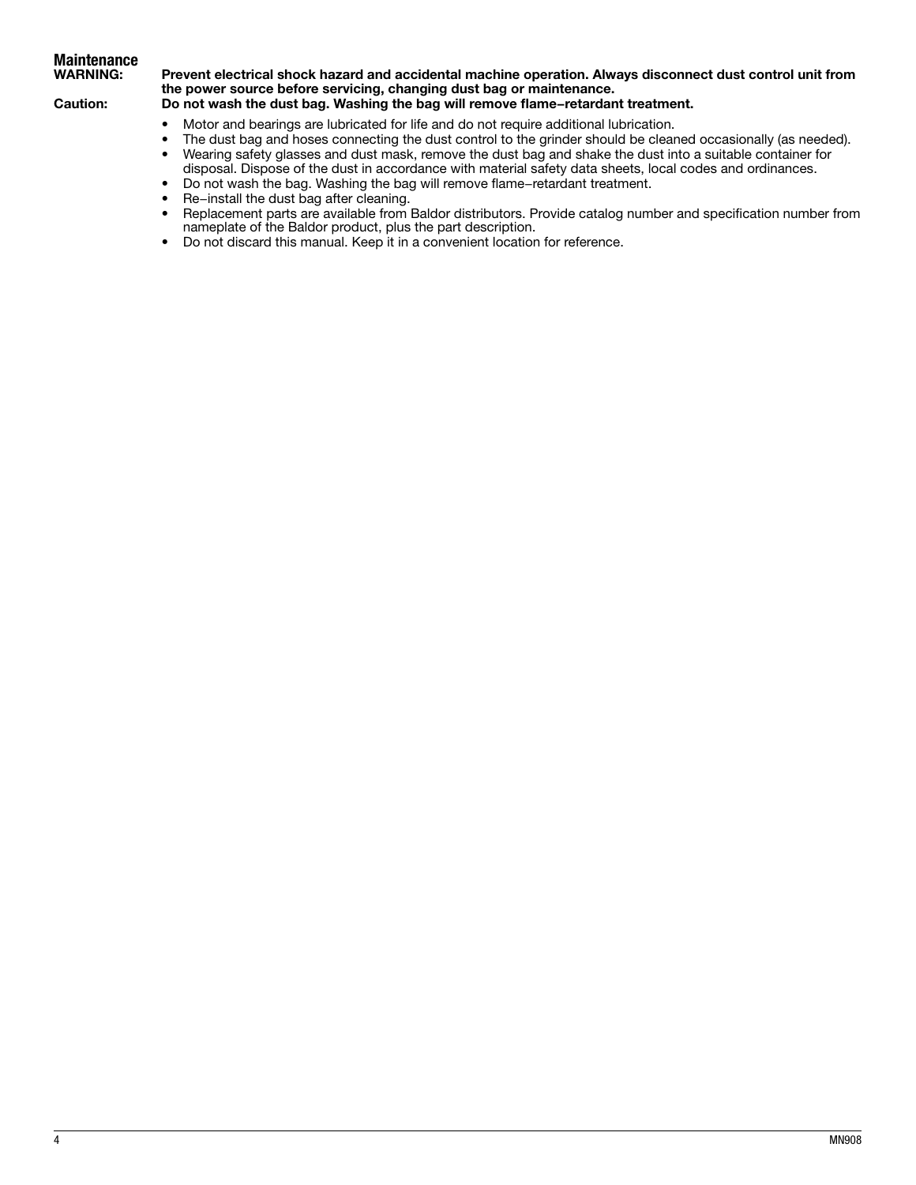# **Maintenance<br>WARNING:**

### Prevent electrical shock hazard and accidental machine operation. Always disconnect dust control unit from the power source before servicing, changing dust bag or maintenance.

### Caution: Do not wash the dust bag. Washing the bag will remove flame−retardant treatment.

- Motor and bearings are lubricated for life and do not require additional lubrication.
- The dust bag and hoses connecting the dust control to the grinder should be cleaned occasionally (as needed).
- • Wearing safety glasses and dust mask, remove the dust bag and shake the dust into a suitable container for disposal. Dispose of the dust in accordance with material safety data sheets, local codes and ordinances.
- • Do not wash the bag. Washing the bag will remove flame−retardant treatment.
- • Re−install the dust bag after cleaning.
- • Replacement parts are available from Baldor distributors. Provide catalog number and specification number from nameplate of the Baldor product, plus the part description.
- Do not discard this manual. Keep it in a convenient location for reference.